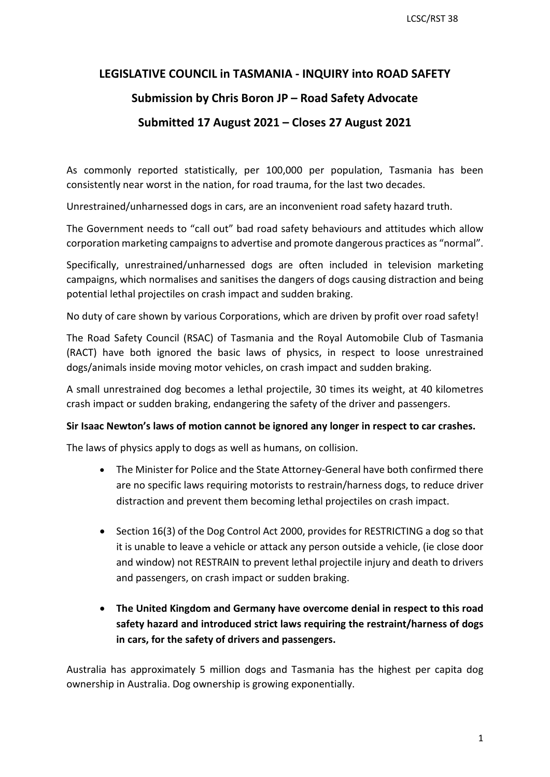## **LEGISLATIVE COUNCIL in TASMANIA - INQUIRY into ROAD SAFETY**

## **Submission by Chris Boron JP – Road Safety Advocate**

## **Submitted 17 August 2021 – Closes 27 August 2021**

As commonly reported statistically, per 100,000 per population, Tasmania has been consistently near worst in the nation, for road trauma, for the last two decades.

Unrestrained/unharnessed dogs in cars, are an inconvenient road safety hazard truth.

 The Government needs to "call out" bad road safety behaviours and attitudes which allow corporation marketing campaigns to advertise and promote dangerous practices as "normal".

potential lethal projectiles on crash impact and sudden braking. Specifically, unrestrained/unharnessed dogs are often included in television marketing campaigns, which normalises and sanitises the dangers of dogs causing distraction and being

potential lethal projectiles on crash impact and sudden braking.<br>No duty of care shown by various Corporations, which are driven by profit over road safety!

The Road Safety Council (RSAC) of Tasmania and the Royal Automobile Club of Tasmania (RACT) have both ignored the basic laws of physics, in respect to loose unrestrained dogs/animals inside moving motor vehicles, on crash impact and sudden braking.

A small unrestrained dog becomes a lethal projectile, 30 times its weight, at 40 kilometres crash impact or sudden braking, endangering the safety of the driver and passengers.

## **Sir Isaac Newton's laws of motion cannot be ignored any longer in respect to car crashes.**

The laws of physics apply to dogs as well as humans, on collision.

- distraction and prevent them becoming lethal projectiles on crash impact. • The Minister for Police and the State Attorney-General have both confirmed there are no specific laws requiring motorists to restrain/harness dogs, to reduce driver
- • Section 16(3) of the Dog Control Act 2000, provides for RESTRICTING a dog so that it is unable to leave a vehicle or attack any person outside a vehicle, (ie close door and window) not RESTRAIN to prevent lethal projectile injury and death to drivers and passengers, on crash impact or sudden braking.
- **in cars, for the safety of drivers and passengers.**  • **The United Kingdom and Germany have overcome denial in respect to this road safety hazard and introduced strict laws requiring the restraint/harness of dogs**

Australia has approximately 5 million dogs and Tasmania has the highest per capita dog ownership in Australia. Dog ownership is growing exponentially.